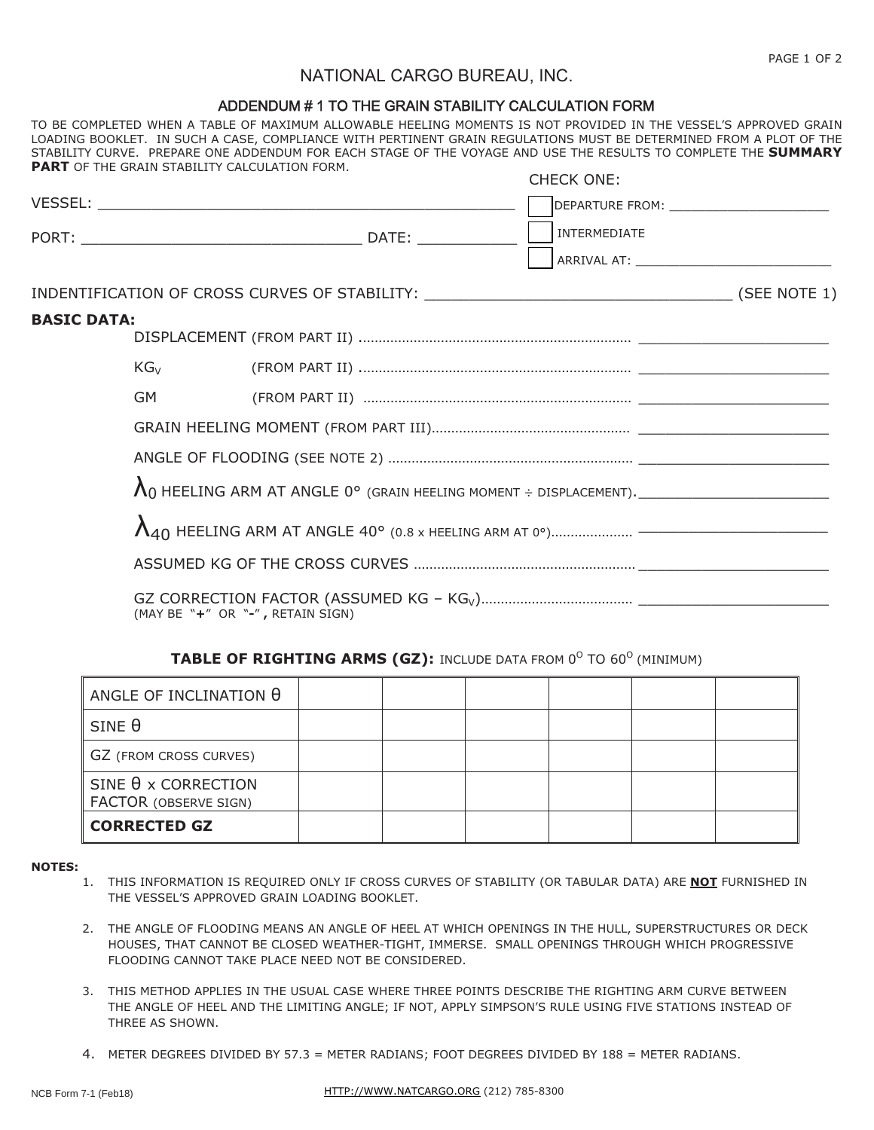# NATIONAL CARGO BUREAU, INC.

### ADDENDUM #1 TO THE GRAIN STABILITY CALCULATION FORM

TO BE COMPLETED WHEN A TABLE OF MAXIMUM ALLOWABLE HEELING MOMENTS IS NOT PROVIDED IN THE VESSEL'S APPROVED GRAIN LOADING BOOKLET. IN SUCH A CASE, COMPLIANCE WITH PERTINENT GRAIN REGULATIONS MUST BE DETERMINED FROM A PLOT OF THE STABILITY CURVE. PREPARE ONE ADDENDUM FOR EACH STAGE OF THE VOYAGE AND USE THE RESULTS TO COMPLETE THE **SUMMARY PART** OF THE GRAIN STABILITY CALCULATION FORM. CHECK ONE:

|                    |          | <b>UNEUN UNE.</b>               |  |
|--------------------|----------|---------------------------------|--|
|                    |          |                                 |  |
|                    |          | INTERMEDIATE                    |  |
|                    |          |                                 |  |
|                    |          |                                 |  |
| <b>BASIC DATA:</b> |          |                                 |  |
|                    |          |                                 |  |
|                    | $KG_{V}$ |                                 |  |
|                    | GM -     |                                 |  |
|                    |          |                                 |  |
|                    |          |                                 |  |
|                    |          |                                 |  |
|                    |          |                                 |  |
|                    |          |                                 |  |
|                    |          | $W + H$ OD $W$ $H$ DETAIN CICAU |  |

(MAY BE "**+**" OR "**-**" **,** RETAIN SIGN)

#### **TABLE OF RIGHTING ARMS (GZ): INCLUDE DATA FROM 0<sup>0</sup> TO 60<sup>0</sup> (MINIMUM)**

| ANGLE OF INCLINATION $\theta$                       |  |  |  |
|-----------------------------------------------------|--|--|--|
| $SINE \theta$                                       |  |  |  |
| GZ (FROM CROSS CURVES)                              |  |  |  |
| SINE $\theta$ x CORRECTION<br>FACTOR (OBSERVE SIGN) |  |  |  |
| <b>CORRECTED GZ</b>                                 |  |  |  |

#### **NOTES:**

- 1. THIS INFORMATION IS REQUIRED ONLY IF CROSS CURVES OF STABILITY (OR TABULAR DATA) ARE **NOT** FURNISHED IN THE VESSEL'S APPROVED GRAIN LOADING BOOKLET.
- 2. THE ANGLE OF FLOODING MEANS AN ANGLE OF HEEL AT WHICH OPENINGS IN THE HULL, SUPERSTRUCTURES OR DECK HOUSES, THAT CANNOT BE CLOSED WEATHER-TIGHT, IMMERSE. SMALL OPENINGS THROUGH WHICH PROGRESSIVE FLOODING CANNOT TAKE PLACE NEED NOT BE CONSIDERED.
- 3. THIS METHOD APPLIES IN THE USUAL CASE WHERE THREE POINTS DESCRIBE THE RIGHTING ARM CURVE BETWEEN THE ANGLE OF HEEL AND THE LIMITING ANGLE; IF NOT, APPLY SIMPSON'S RULE USING FIVE STATIONS INSTEAD OF THREE AS SHOWN.
- 4. METER DEGREES DIVIDED BY 57.3 = METER RADIANS; FOOT DEGREES DIVIDED BY 188 = METER RADIANS.